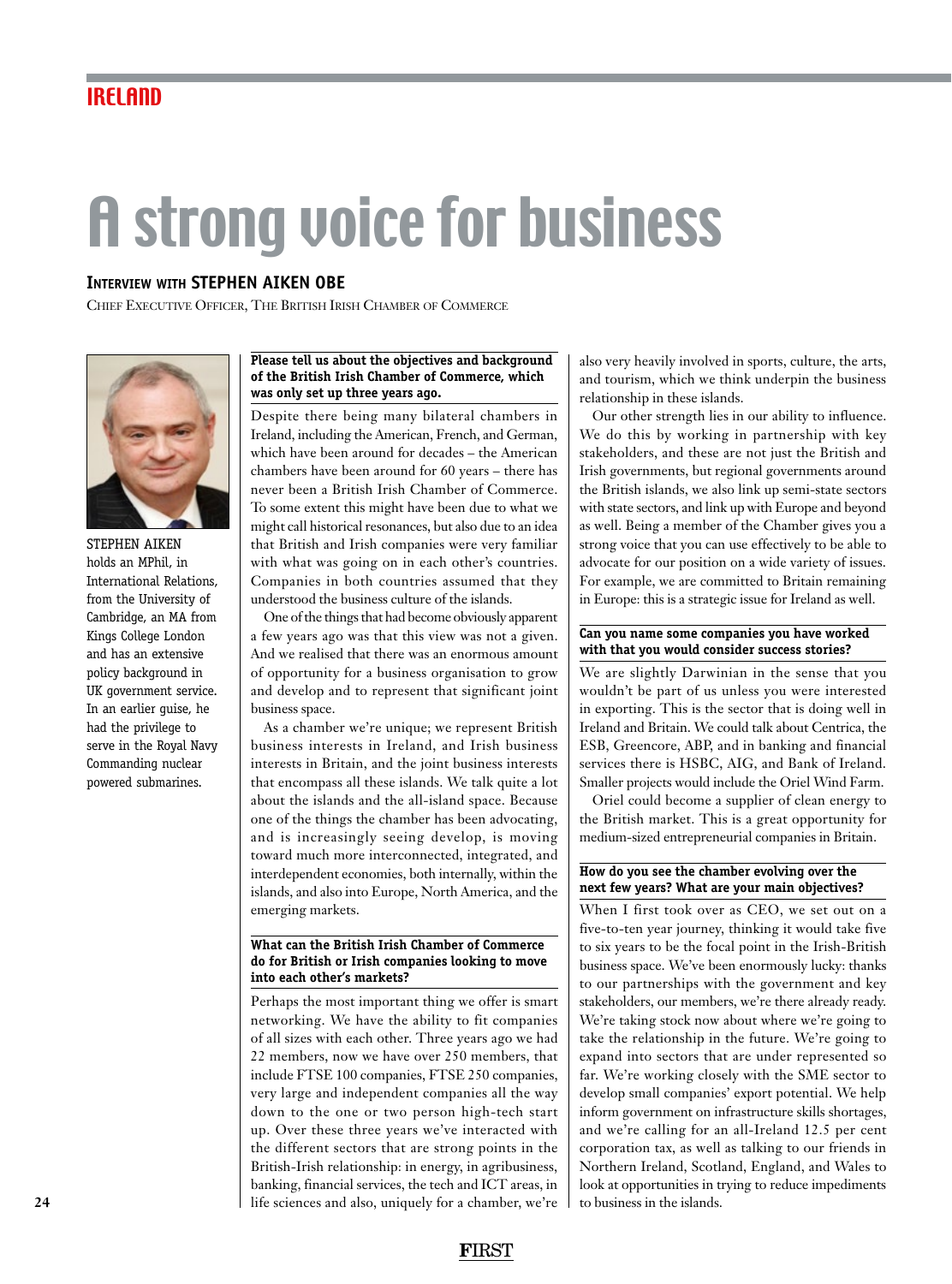# A strong voice for business

# **Interview with STEPHEN AIKEN OBE**

Chief Executive Officer, The British Irish Chamber of Commerce



STEPHEN AIKEN holds an MPhil, in International Relations, from the University of Cambridge, an MA from Kings College London and has an extensive policy background in UK government service. In an earlier guise, he had the privilege to serve in the Royal Navy Commanding nuclear powered submarines.

#### **Please tell us about the objectives and background of the British Irish Chamber of Commerce, which was only set up three years ago.**

Despite there being many bilateral chambers in Ireland, including the American, French, and German, which have been around for decades – the American chambers have been around for 60 years – there has never been a British Irish Chamber of Commerce. To some extent this might have been due to what we might call historical resonances, but also due to an idea that British and Irish companies were very familiar with what was going on in each other's countries. Companies in both countries assumed that they understood the business culture of the islands.

One of the things that had become obviously apparent a few years ago was that this view was not a given. And we realised that there was an enormous amount of opportunity for a business organisation to grow and develop and to represent that significant joint business space.

As a chamber we're unique; we represent British business interests in Ireland, and Irish business interests in Britain, and the joint business interests that encompass all these islands. We talk quite a lot about the islands and the all-island space. Because one of the things the chamber has been advocating, and is increasingly seeing develop, is moving toward much more interconnected, integrated, and interdependent economies, both internally, within the islands, and also into Europe, North America, and the emerging markets.

#### **What can the British Irish Chamber of Commerce do for British or Irish companies looking to move into each other's markets?**

Perhaps the most important thing we offer is smart networking. We have the ability to fit companies of all sizes with each other. Three years ago we had 22 members, now we have over 250 members, that include FTSE 100 companies, FTSE 250 companies, very large and independent companies all the way down to the one or two person high-tech start up. Over these three years we've interacted with the different sectors that are strong points in the British-Irish relationship: in energy, in agribusiness, banking, financial services, the tech and ICT areas, in life sciences and also, uniquely for a chamber, we're

also very heavily involved in sports, culture, the arts, and tourism, which we think underpin the business relationship in these islands.

Our other strength lies in our ability to influence. We do this by working in partnership with key stakeholders, and these are not just the British and Irish governments, but regional governments around the British islands, we also link up semi-state sectors with state sectors, and link up with Europe and beyond as well. Being a member of the Chamber gives you a strong voice that you can use effectively to be able to advocate for our position on a wide variety of issues. For example, we are committed to Britain remaining in Europe: this is a strategic issue for Ireland as well.

#### **Can you name some companies you have worked with that you would consider success stories?**

We are slightly Darwinian in the sense that you wouldn't be part of us unless you were interested in exporting. This is the sector that is doing well in Ireland and Britain. We could talk about Centrica, the ESB, Greencore, ABP, and in banking and financial services there is HSBC, AIG, and Bank of Ireland. Smaller projects would include the Oriel Wind Farm.

Oriel could become a supplier of clean energy to the British market. This is a great opportunity for medium-sized entrepreneurial companies in Britain.

### **How do you see the chamber evolving over the next few years? What are your main objectives?**

When I first took over as CEO, we set out on a five-to-ten year journey, thinking it would take five to six years to be the focal point in the Irish-British business space. We've been enormously lucky: thanks to our partnerships with the government and key stakeholders, our members, we're there already ready. We're taking stock now about where we're going to take the relationship in the future. We're going to expand into sectors that are under represented so far. We're working closely with the SME sector to develop small companies' export potential. We help inform government on infrastructure skills shortages, and we're calling for an all-Ireland 12.5 per cent corporation tax, as well as talking to our friends in Northern Ireland, Scotland, England, and Wales to look at opportunities in trying to reduce impediments to business in the islands.